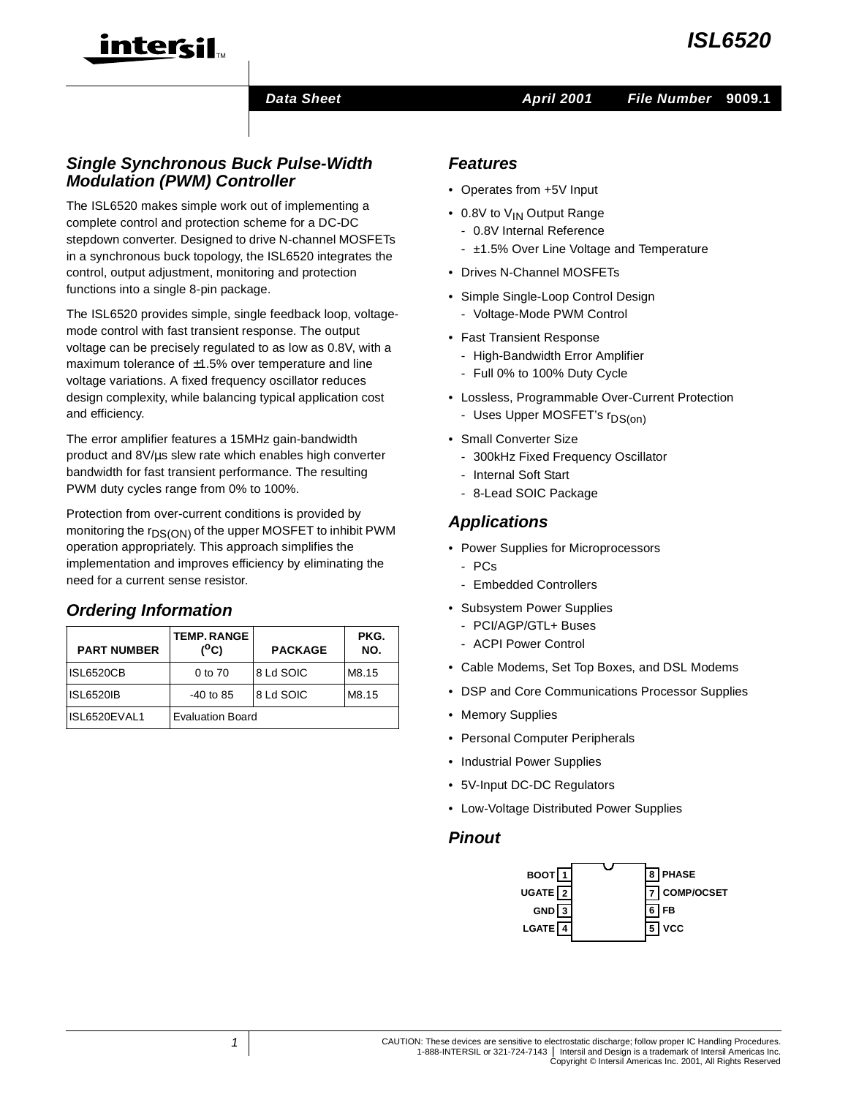

#### **Data Sheet April 2001**

## **Single Synchronous Buck Pulse-Width Modulation (PWM) Controller**

TM

intercil

The ISL6520 makes simple work out of implementing a complete control and protection scheme for a DC-DC stepdown converter. Designed to drive N-channel MOSFETs in a synchronous buck topology, the ISL6520 integrates the control, output adjustment, monitoring and protection functions into a single 8-pin package.

The ISL6520 provides simple, single feedback loop, voltagemode control with fast transient response. The output voltage can be precisely regulated to as low as 0.8V, with a maximum tolerance of ±1.5% over temperature and line voltage variations. A fixed frequency oscillator reduces design complexity, while balancing typical application cost and efficiency.

The error amplifier features a 15MHz gain-bandwidth product and 8V/µs slew rate which enables high converter bandwidth for fast transient performance. The resulting PWM duty cycles range from 0% to 100%.

Protection from over-current conditions is provided by monitoring the r<sub>DS(ON)</sub> of the upper MOSFET to inhibit PWM operation appropriately. This approach simplifies the implementation and improves efficiency by eliminating the need for a current sense resistor.

## **Ordering Information**

| <b>PART NUMBER</b> | <b>TEMP. RANGE</b><br>(°C) | <b>PACKAGE</b> | PKG.<br>NO. |
|--------------------|----------------------------|----------------|-------------|
| <b>ISL6520CB</b>   | 0 to 70                    | 8 Ld SOIC      | M8.15       |
| <b>ISL6520IB</b>   | $-40$ to 85                | 8 Ld SOIC      | M8.15       |
| ISL6520EVAL1       | <b>Evaluation Board</b>    |                |             |

#### **Features**

- Operates from +5V Input
- 0.8V to V<sub>IN</sub> Output Range
	- 0.8V Internal Reference
	- ±1.5% Over Line Voltage and Temperature
- Drives N-Channel MOSFETs
- Simple Single-Loop Control Design - Voltage-Mode PWM Control
- Fast Transient Response
	- High-Bandwidth Error Amplifier
	- Full 0% to 100% Duty Cycle
- Lossless, Programmable Over-Current Protection
	- Uses Upper MOSFET's r<sub>DS(on)</sub>
- Small Converter Size
	- 300kHz Fixed Frequency Oscillator
	- Internal Soft Start
	- 8-Lead SOIC Package

## **Applications**

- Power Supplies for Microprocessors
	- PCs
	- Embedded Controllers
- Subsystem Power Supplies
	- PCI/AGP/GTL+ Buses
	- ACPI Power Control
- Cable Modems, Set Top Boxes, and DSL Modems
- DSP and Core Communications Processor Supplies
- Memory Supplies
- Personal Computer Peripherals
- Industrial Power Supplies
- 5V-Input DC-DC Regulators
- Low-Voltage Distributed Power Supplies

#### **Pinout**

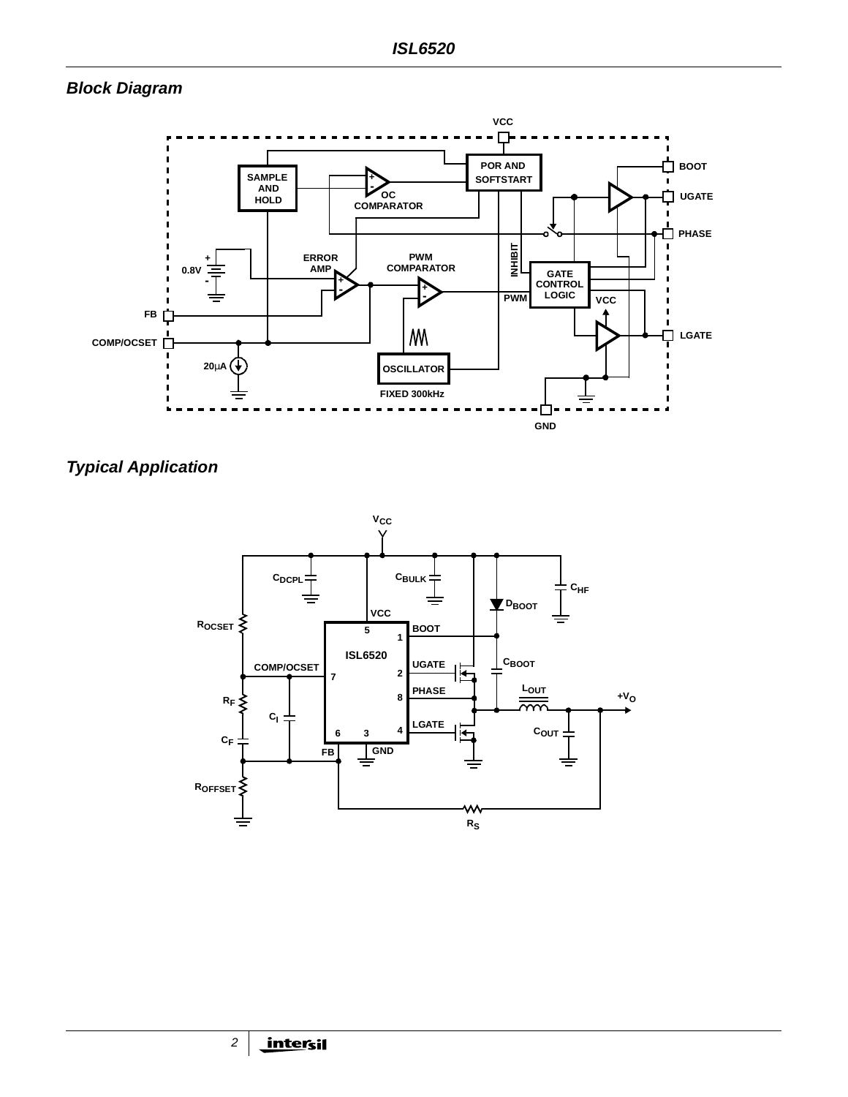# **Block Diagram**



# **Typical Application**

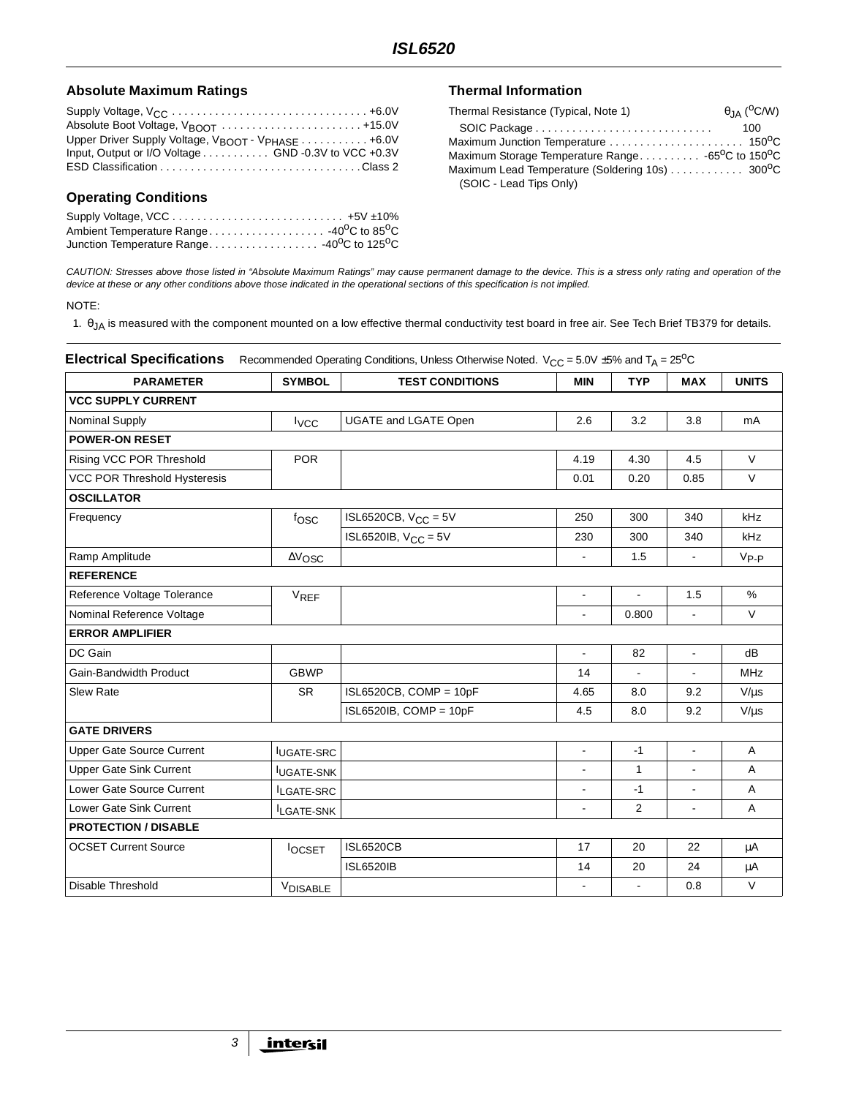#### Absolute Maximum Ratings **Thermal Information**

| Upper Driver Supply Voltage, V <sub>BOOT</sub> - V <sub>PHASE</sub> 46.0V |
|---------------------------------------------------------------------------|
| Input, Output or I/O Voltage GND -0.3V to VCC +0.3V                       |
|                                                                           |

## **Operating Conditions**

| Ambient Temperature Range -40 <sup>0</sup> C to 85 <sup>0</sup> C   |  |
|---------------------------------------------------------------------|--|
| Junction Temperature Range -40 <sup>o</sup> C to 125 <sup>o</sup> C |  |

| Thermal Resistance (Typical, Note 1)             | $\theta$ <sub>JA</sub> ( <sup>O</sup> C/W) |
|--------------------------------------------------|--------------------------------------------|
|                                                  | 100                                        |
| Maximum Junction Temperature  150°C              |                                            |
| Maximum Storage Temperature Range -65°C to 150°C |                                            |
|                                                  |                                            |
| (SOIC - Lead Tips Only)                          |                                            |

CAUTION: Stresses above those listed in "Absolute Maximum Ratings" may cause permanent damage to the device. This is a stress only rating and operation of the device at these or any other conditions above those indicated in the operational sections of this specification is not implied.

#### NOTE:

1. θJA is measured with the component mounted on a low effective thermal conductivity test board in free air. See Tech Brief TB379 for details.

| <b>Electrical Specifications</b> |                   | Recommended Operating Conditions, Unless Otherwise Noted. $V_{CC} = 5.0V \pm 5\%$ and T <sub>A</sub> = 25 <sup>o</sup> C |                          |                |                          |              |
|----------------------------------|-------------------|--------------------------------------------------------------------------------------------------------------------------|--------------------------|----------------|--------------------------|--------------|
| <b>PARAMETER</b>                 | <b>SYMBOL</b>     | <b>TEST CONDITIONS</b>                                                                                                   | <b>MIN</b>               | <b>TYP</b>     | <b>MAX</b>               | <b>UNITS</b> |
| <b>VCC SUPPLY CURRENT</b>        |                   |                                                                                                                          |                          |                |                          |              |
| <b>Nominal Supply</b>            | $I_{VCC}$         | <b>UGATE and LGATE Open</b>                                                                                              | 2.6                      | 3.2            | 3.8                      | mA           |
| <b>POWER-ON RESET</b>            |                   |                                                                                                                          |                          |                |                          |              |
| Rising VCC POR Threshold         | <b>POR</b>        |                                                                                                                          | 4.19                     | 4.30           | 4.5                      | $\vee$       |
| VCC POR Threshold Hysteresis     |                   |                                                                                                                          | 0.01                     | 0.20           | 0.85                     | $\vee$       |
| <b>OSCILLATOR</b>                |                   |                                                                                                                          |                          |                |                          |              |
| Frequency                        | fosc              | ISL6520CB, $V_{CC} = 5V$                                                                                                 | 250                      | 300            | 340                      | kHz          |
|                                  |                   | ISL6520IB, $V_{CC} = 5V$                                                                                                 | 230                      | 300            | 340                      | kHz          |
| Ramp Amplitude                   | $\Delta V$ OSC    |                                                                                                                          | $\overline{\phantom{a}}$ | 1.5            | $\blacksquare$           | $V_{P-P}$    |
| <b>REFERENCE</b>                 |                   |                                                                                                                          |                          |                |                          |              |
| Reference Voltage Tolerance      | <b>VREF</b>       |                                                                                                                          | $\blacksquare$           | $\blacksquare$ | 1.5                      | $\%$         |
| Nominal Reference Voltage        |                   |                                                                                                                          |                          | 0.800          |                          | $\vee$       |
| <b>ERROR AMPLIFIER</b>           |                   |                                                                                                                          |                          |                |                          |              |
| DC Gain                          |                   |                                                                                                                          | $\blacksquare$           | 82             | $\blacksquare$           | dB           |
| Gain-Bandwidth Product           | <b>GBWP</b>       |                                                                                                                          | 14                       |                |                          | <b>MHz</b>   |
| <b>Slew Rate</b>                 | <b>SR</b>         | $ISL6520CB$ , COMP = 10pF                                                                                                | 4.65                     | 8.0            | 9.2                      | $V/\mu s$    |
|                                  |                   | $ISL6520IB$ , COMP = 10pF                                                                                                | 4.5                      | 8.0            | 9.2                      | $V/\mu s$    |
| <b>GATE DRIVERS</b>              |                   |                                                                                                                          |                          |                |                          |              |
| <b>Upper Gate Source Current</b> | <b>IUGATE-SRC</b> |                                                                                                                          | $\blacksquare$           | $-1$           | $\blacksquare$           | A            |
| <b>Upper Gate Sink Current</b>   | <b>IUGATE-SNK</b> |                                                                                                                          |                          | $\mathbf{1}$   |                          | Α            |
| Lower Gate Source Current        | ILGATE-SRC        |                                                                                                                          | $\blacksquare$           | $-1$           | $\overline{a}$           | A            |
| Lower Gate Sink Current          | <b>ILGATE-SNK</b> |                                                                                                                          | ÷,                       | 2              | $\overline{\phantom{a}}$ | A            |
| <b>PROTECTION / DISABLE</b>      |                   |                                                                                                                          |                          |                |                          |              |
| <b>OCSET Current Source</b>      | <b>locsET</b>     | <b>ISL6520CB</b>                                                                                                         | 17                       | 20             | 22                       | μA           |
|                                  |                   | <b>ISL6520IB</b>                                                                                                         | 14                       | 20             | 24                       | μA           |
| <b>Disable Threshold</b>         | <b>VDISABLE</b>   |                                                                                                                          |                          |                | 0.8                      | $\vee$       |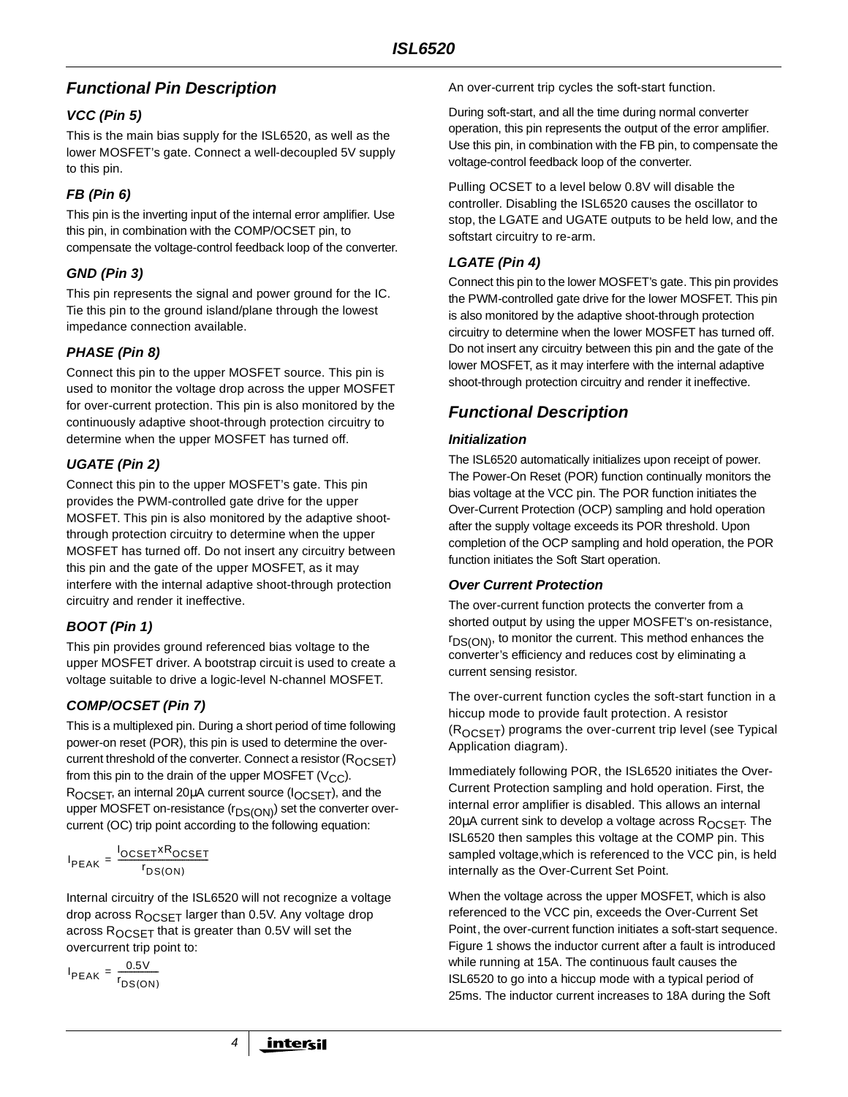# **Functional Pin Description**

## **VCC (Pin 5)**

This is the main bias supply for the ISL6520, as well as the lower MOSFET's gate. Connect a well-decoupled 5V supply to this pin.

# **FB (Pin 6)**

This pin is the inverting input of the internal error amplifier. Use this pin, in combination with the COMP/OCSET pin, to compensate the voltage-control feedback loop of the converter.

# **GND (Pin 3)**

This pin represents the signal and power ground for the IC. Tie this pin to the ground island/plane through the lowest impedance connection available.

# **PHASE (Pin 8)**

Connect this pin to the upper MOSFET source. This pin is used to monitor the voltage drop across the upper MOSFET for over-current protection. This pin is also monitored by the continuously adaptive shoot-through protection circuitry to determine when the upper MOSFET has turned off.

# **UGATE (Pin 2)**

Connect this pin to the upper MOSFET's gate. This pin provides the PWM-controlled gate drive for the upper MOSFET. This pin is also monitored by the adaptive shootthrough protection circuitry to determine when the upper MOSFET has turned off. Do not insert any circuitry between this pin and the gate of the upper MOSFET, as it may interfere with the internal adaptive shoot-through protection circuitry and render it ineffective.

# **BOOT (Pin 1)**

This pin provides ground referenced bias voltage to the upper MOSFET driver. A bootstrap circuit is used to create a voltage suitable to drive a logic-level N-channel MOSFET.

# **COMP/OCSET (Pin 7)**

This is a multiplexed pin. During a short period of time following power-on reset (POR), this pin is used to determine the overcurrent threshold of the converter. Connect a resistor  $(R_{OCSFT})$ from this pin to the drain of the upper MOSFET ( $V_{CC}$ ). R<sub>OCSET</sub>, an internal 20µA current source (I<sub>OCSET</sub>), and the upper MOSFET on-resistance (r<sub>DS(ON)</sub>) set the converter overcurrent (OC) trip point according to the following equation:

$$
I_{PEAK} = \frac{I_{OCSET} \times R_{OCSET}}{I_{DS(ON)}}
$$

Internal circuitry of the ISL6520 will not recognize a voltage drop across ROCSET larger than 0.5V. Any voltage drop across  $R_{OCSET}$  that is greater than 0.5V will set the overcurrent trip point to:

4

$$
I_{PEAK} = \frac{0.5V}{r_{DS(ON)}}
$$

An over-current trip cycles the soft-start function.

During soft-start, and all the time during normal converter operation, this pin represents the output of the error amplifier. Use this pin, in combination with the FB pin, to compensate the voltage-control feedback loop of the converter.

Pulling OCSET to a level below 0.8V will disable the controller. Disabling the ISL6520 causes the oscillator to stop, the LGATE and UGATE outputs to be held low, and the softstart circuitry to re-arm.

# **LGATE (Pin 4)**

Connect this pin to the lower MOSFET's gate. This pin provides the PWM-controlled gate drive for the lower MOSFET. This pin is also monitored by the adaptive shoot-through protection circuitry to determine when the lower MOSFET has turned off. Do not insert any circuitry between this pin and the gate of the lower MOSFET, as it may interfere with the internal adaptive shoot-through protection circuitry and render it ineffective.

# **Functional Description**

## **Initialization**

The ISL6520 automatically initializes upon receipt of power. The Power-On Reset (POR) function continually monitors the bias voltage at the VCC pin. The POR function initiates the Over-Current Protection (OCP) sampling and hold operation after the supply voltage exceeds its POR threshold. Upon completion of the OCP sampling and hold operation, the POR function initiates the Soft Start operation.

## **Over Current Protection**

The over-current function protects the converter from a shorted output by using the upper MOSFET's on-resistance,  $r_{DS(ON)}$ , to monitor the current. This method enhances the converter's efficiency and reduces cost by eliminating a current sensing resistor.

The over-current function cycles the soft-start function in a hiccup mode to provide fault protection. A resistor  $(R<sub>OCSFT</sub>)$  programs the over-current trip level (see Typical Application diagram).

Immediately following POR, the ISL6520 initiates the Over-Current Protection sampling and hold operation. First, the internal error amplifier is disabled. This allows an internal 20 $\mu$ A current sink to develop a voltage across  $R_{OCSFT}$ . The ISL6520 then samples this voltage at the COMP pin. This sampled voltage,which is referenced to the VCC pin, is held internally as the Over-Current Set Point.

When the voltage across the upper MOSFET, which is also referenced to the VCC pin, exceeds the Over-Current Set Point, the over-current function initiates a soft-start sequence. Figure 1 shows the inductor current after a fault is introduced while running at 15A. The continuous fault causes the ISL6520 to go into a hiccup mode with a typical period of 25ms. The inductor current increases to 18A during the Soft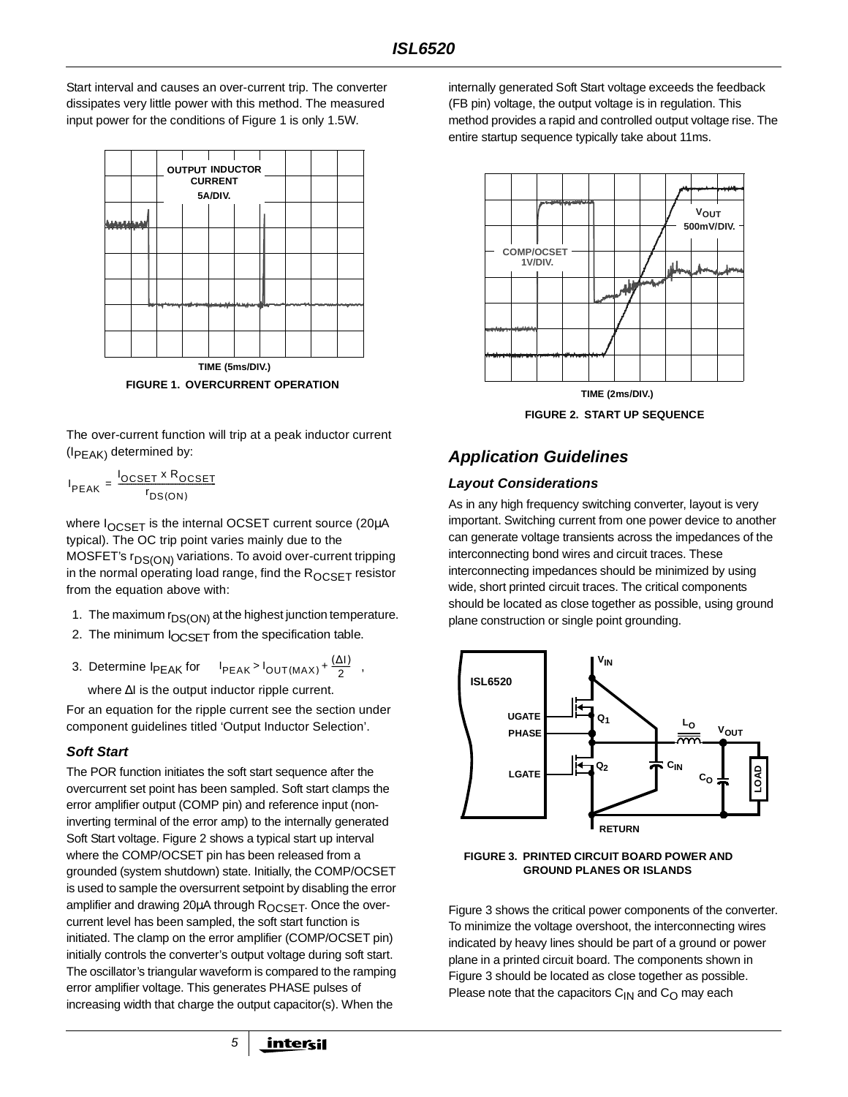Start interval and causes an over-current trip. The converter dissipates very little power with this method. The measured input power for the conditions of Figure 1 is only 1.5W.



The over-current function will trip at a peak inductor current  $(I_{PFAK)}$  determined by:

$$
I_{PEAK} = \frac{I_{OCSET} \times R_{OCSET}}{r_{DS(ON)}}
$$

where  $I_{OCSFT}$  is the internal OCSET current source (20 $\mu$ A typical). The OC trip point varies mainly due to the MOSFET's r<sub>DS(ON)</sub> variations. To avoid over-current tripping in the normal operating load range, find the  $R_{OCSET}$  resistor from the equation above with:

- 1. The maximum  $r_{DS(ON)}$  at the highest junction temperature.
- 2. The minimum  $I_{OCSET}$  from the specification table.
- 3. Determine  $I_{PEAK}$  for  $I_{PEAK} > I_{OUT(MAX)} + \frac{(\Delta I)}{2}$ , where ∆I is the output inductor ripple current.

For an equation for the ripple current see the section under component guidelines titled 'Output Inductor Selection'.

## **Soft Start**

The POR function initiates the soft start sequence after the overcurrent set point has been sampled. Soft start clamps the error amplifier output (COMP pin) and reference input (noninverting terminal of the error amp) to the internally generated Soft Start voltage. Figure 2 shows a typical start up interval where the COMP/OCSET pin has been released from a grounded (system shutdown) state. Initially, the COMP/OCSET is used to sample the oversurrent setpoint by disabling the error amplifier and drawing 20 $\mu$ A through  $R_{OCSFT}$ . Once the overcurrent level has been sampled, the soft start function is initiated. The clamp on the error amplifier (COMP/OCSET pin) initially controls the converter's output voltage during soft start. The oscillator's triangular waveform is compared to the ramping error amplifier voltage. This generates PHASE pulses of increasing width that charge the output capacitor(s). When the

5

internally generated Soft Start voltage exceeds the feedback (FB pin) voltage, the output voltage is in regulation. This method provides a rapid and controlled output voltage rise. The entire startup sequence typically take about 11ms.



**FIGURE 2. START UP SEQUENCE**

# **Application Guidelines**

#### **Layout Considerations**

As in any high frequency switching converter, layout is very important. Switching current from one power device to another can generate voltage transients across the impedances of the interconnecting bond wires and circuit traces. These interconnecting impedances should be minimized by using wide, short printed circuit traces. The critical components should be located as close together as possible, using ground plane construction or single point grounding.





Figure 3 shows the critical power components of the converter. To minimize the voltage overshoot, the interconnecting wires indicated by heavy lines should be part of a ground or power plane in a printed circuit board. The components shown in Figure 3 should be located as close together as possible. Please note that the capacitors  $C_{1N}$  and  $C_{\Omega}$  may each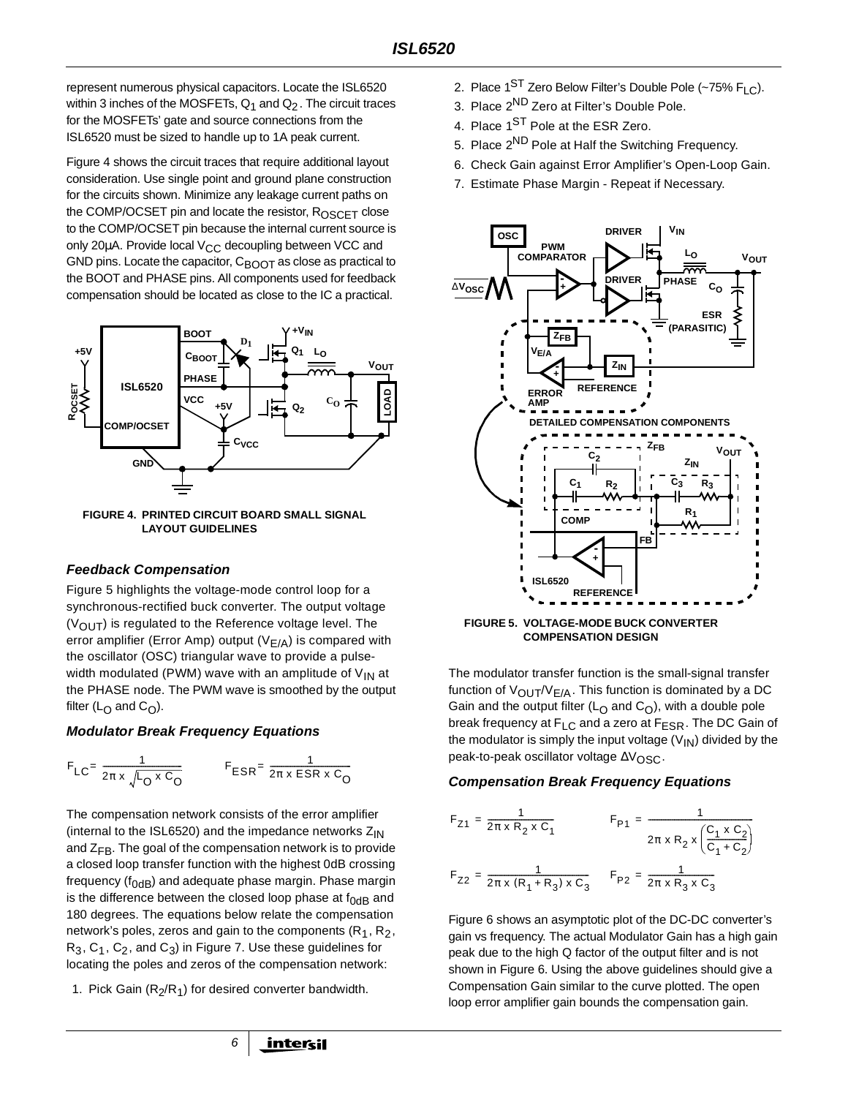represent numerous physical capacitors. Locate the ISL6520 within 3 inches of the MOSFETs,  $Q_1$  and  $Q_2$ . The circuit traces for the MOSFETs' gate and source connections from the ISL6520 must be sized to handle up to 1A peak current.

Figure 4 shows the circuit traces that require additional layout consideration. Use single point and ground plane construction for the circuits shown. Minimize any leakage current paths on the COMP/OCSET pin and locate the resistor,  $R_{OSCFT}$  close to the COMP/OCSET pin because the internal current source is only 20 $\mu$ A. Provide local V<sub>CC</sub> decoupling between VCC and GND pins. Locate the capacitor,  $C_{\text{BOOT}}$  as close as practical to the BOOT and PHASE pins. All components used for feedback compensation should be located as close to the IC a practical.



**FIGURE 4. PRINTED CIRCUIT BOARD SMALL SIGNAL LAYOUT GUIDELINES**

#### **Feedback Compensation**

Figure 5 highlights the voltage-mode control loop for a synchronous-rectified buck converter. The output voltage  $(V<sub>OUT</sub>)$  is regulated to the Reference voltage level. The error amplifier (Error Amp) output ( $V_{F/A}$ ) is compared with the oscillator (OSC) triangular wave to provide a pulsewidth modulated (PWM) wave with an amplitude of  $V_{IN}$  at the PHASE node. The PWM wave is smoothed by the output filter ( $L_{\Omega}$  and  $C_{\Omega}$ ).

#### **Modulator Break Frequency Equations**

$$
F_{LC} = \frac{1}{2\pi \times \sqrt{L_0 \times C_0}}
$$

$$
F_{ESR} = \frac{1}{2\pi \times ESR \times C_0}
$$

The compensation network consists of the error amplifier (internal to the ISL6520) and the impedance networks  $Z_{IN}$ and  $Z_{FB}$ . The goal of the compensation network is to provide a closed loop transfer function with the highest 0dB crossing frequency ( $f_{OdB}$ ) and adequate phase margin. Phase margin is the difference between the closed loop phase at  $f_{0dB}$  and 180 degrees. The equations below relate the compensation network's poles, zeros and gain to the components ( $R_1, R_2$ ,  $R_3, C_1, C_2$ , and  $C_3$ ) in Figure 7. Use these guidelines for locating the poles and zeros of the compensation network:

1. Pick Gain  $(R_2/R_1)$  for desired converter bandwidth.

6

- 3. Place 2<sup>ND</sup> Zero at Filter's Double Pole.
- 4. Place 1<sup>ST</sup> Pole at the ESR Zero.
- 5. Place 2<sup>ND</sup> Pole at Half the Switching Frequency.
- 6. Check Gain against Error Amplifier's Open-Loop Gain.
- 7. Estimate Phase Margin Repeat if Necessary.



**FIGURE 5. VOLTAGE-MODE BUCK CONVERTER COMPENSATION DESIGN**

The modulator transfer function is the small-signal transfer function of  $V_{\text{OUT}}/V_{\text{F/A}}$ . This function is dominated by a DC Gain and the output filter ( $L<sub>O</sub>$  and  $C<sub>O</sub>$ ), with a double pole break frequency at F<sub>LC</sub> and a zero at F<sub>ESR</sub>. The DC Gain of the modulator is simply the input voltage  $(V_{\text{IN}})$  divided by the peak-to-peak oscillator voltage ∆V<sub>OSC</sub>.

#### **Compensation Break Frequency Equations**

$$
F_{Z1} = \frac{1}{2\pi \times R_2 \times C_1}
$$
  
\n
$$
F_{P1} = \frac{1}{2\pi \times R_2 \times \left(\frac{C_1 \times C_2}{C_1 + C_2}\right)}
$$
  
\n
$$
F_{Z2} = \frac{1}{2\pi \times (R_1 + R_3) \times C_3}
$$
  
\n
$$
F_{P2} = \frac{1}{2\pi \times R_3 \times C_3}
$$

Figure 6 shows an asymptotic plot of the DC-DC converter's gain vs frequency. The actual Modulator Gain has a high gain peak due to the high Q factor of the output filter and is not shown in Figure 6. Using the above guidelines should give a Compensation Gain similar to the curve plotted. The open loop error amplifier gain bounds the compensation gain.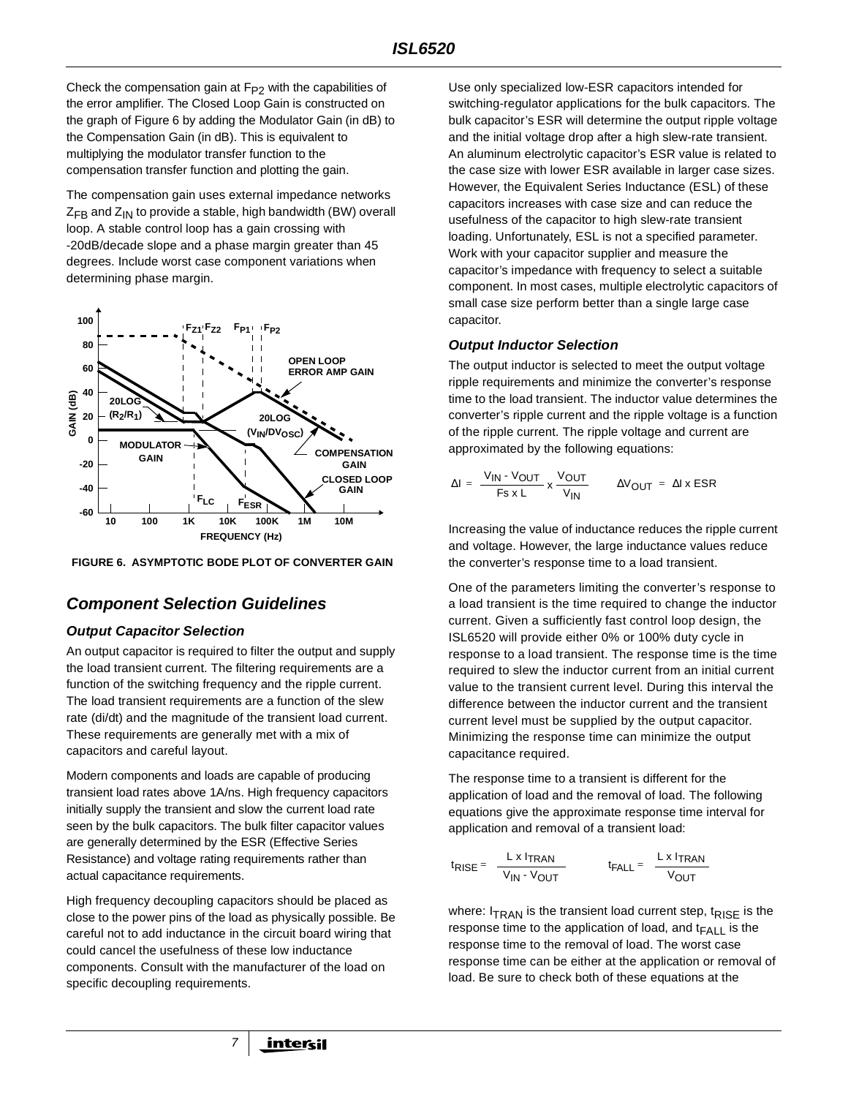Check the compensation gain at  $F_{P2}$  with the capabilities of the error amplifier. The Closed Loop Gain is constructed on the graph of Figure 6 by adding the Modulator Gain (in dB) to the Compensation Gain (in dB). This is equivalent to multiplying the modulator transfer function to the compensation transfer function and plotting the gain.

The compensation gain uses external impedance networks  $Z_{FB}$  and  $Z_{IN}$  to provide a stable, high bandwidth (BW) overall loop. A stable control loop has a gain crossing with -20dB/decade slope and a phase margin greater than 45 degrees. Include worst case component variations when determining phase margin.



**FIGURE 6. ASYMPTOTIC BODE PLOT OF CONVERTER GAIN**

# **Component Selection Guidelines**

## **Output Capacitor Selection**

An output capacitor is required to filter the output and supply the load transient current. The filtering requirements are a function of the switching frequency and the ripple current. The load transient requirements are a function of the slew rate (di/dt) and the magnitude of the transient load current. These requirements are generally met with a mix of capacitors and careful layout.

Modern components and loads are capable of producing transient load rates above 1A/ns. High frequency capacitors initially supply the transient and slow the current load rate seen by the bulk capacitors. The bulk filter capacitor values are generally determined by the ESR (Effective Series Resistance) and voltage rating requirements rather than actual capacitance requirements.

High frequency decoupling capacitors should be placed as close to the power pins of the load as physically possible. Be careful not to add inductance in the circuit board wiring that could cancel the usefulness of these low inductance components. Consult with the manufacturer of the load on specific decoupling requirements.

7

Use only specialized low-ESR capacitors intended for switching-regulator applications for the bulk capacitors. The bulk capacitor's ESR will determine the output ripple voltage and the initial voltage drop after a high slew-rate transient. An aluminum electrolytic capacitor's ESR value is related to the case size with lower ESR available in larger case sizes. However, the Equivalent Series Inductance (ESL) of these capacitors increases with case size and can reduce the usefulness of the capacitor to high slew-rate transient loading. Unfortunately, ESL is not a specified parameter. Work with your capacitor supplier and measure the capacitor's impedance with frequency to select a suitable component. In most cases, multiple electrolytic capacitors of small case size perform better than a single large case capacitor.

## **Output Inductor Selection**

The output inductor is selected to meet the output voltage ripple requirements and minimize the converter's response time to the load transient. The inductor value determines the converter's ripple current and the ripple voltage is a function of the ripple current. The ripple voltage and current are approximated by the following equations:

CLOSED Loop  
\n
$$
\Delta I = \frac{V_{IN} - V_{OUT}}{Fs \times L} \times \frac{V_{OUT}}{V_{IN}} \qquad \Delta V_{OUT} = \Delta I \times ESR
$$

Increasing the value of inductance reduces the ripple current and voltage. However, the large inductance values reduce the converter's response time to a load transient.

One of the parameters limiting the converter's response to a load transient is the time required to change the inductor current. Given a sufficiently fast control loop design, the ISL6520 will provide either 0% or 100% duty cycle in response to a load transient. The response time is the time required to slew the inductor current from an initial current value to the transient current level. During this interval the difference between the inductor current and the transient current level must be supplied by the output capacitor. Minimizing the response time can minimize the output capacitance required.

The response time to a transient is different for the application of load and the removal of load. The following equations give the approximate response time interval for application and removal of a transient load:

$$
t_{RISE} = \frac{L \times I_{TRAN}}{V_{IN} - V_{OUT}}
$$
  $t_{FALL} = \frac{L \times I_{TRAN}}{V_{OUT}}$ 

where:  $I_{TRAN}$  is the transient load current step,  $t_{RISE}$  is the response time to the application of load, and  $t_{FAII}$  is the response time to the removal of load. The worst case response time can be either at the application or removal of load. Be sure to check both of these equations at the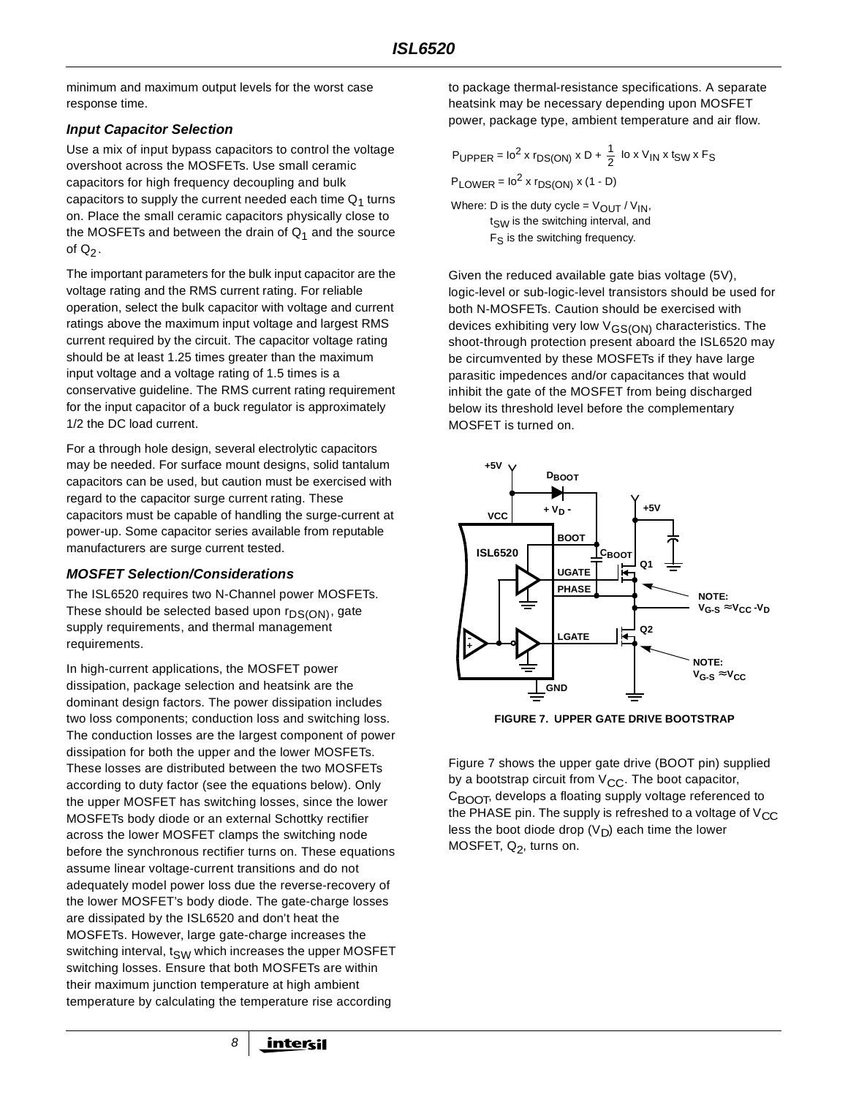minimum and maximum output levels for the worst case response time.

## **Input Capacitor Selection**

Use a mix of input bypass capacitors to control the voltage overshoot across the MOSFETs. Use small ceramic capacitors for high frequency decoupling and bulk capacitors to supply the current needed each time  $Q_1$  turns on. Place the small ceramic capacitors physically close to the MOSFETs and between the drain of  $Q_1$  and the source of  $Q_2$ .

The important parameters for the bulk input capacitor are the voltage rating and the RMS current rating. For reliable operation, select the bulk capacitor with voltage and current ratings above the maximum input voltage and largest RMS current required by the circuit. The capacitor voltage rating should be at least 1.25 times greater than the maximum input voltage and a voltage rating of 1.5 times is a conservative guideline. The RMS current rating requirement for the input capacitor of a buck regulator is approximately 1/2 the DC load current.

For a through hole design, several electrolytic capacitors may be needed. For surface mount designs, solid tantalum capacitors can be used, but caution must be exercised with regard to the capacitor surge current rating. These capacitors must be capable of handling the surge-current at power-up. Some capacitor series available from reputable manufacturers are surge current tested.

## **MOSFET Selection/Considerations**

The ISL6520 requires two N-Channel power MOSFETs. These should be selected based upon  $r_{DS(ON)}$ , gate supply requirements, and thermal management requirements.

In high-current applications, the MOSFET power dissipation, package selection and heatsink are the dominant design factors. The power dissipation includes two loss components; conduction loss and switching loss. The conduction losses are the largest component of power dissipation for both the upper and the lower MOSFETs. These losses are distributed between the two MOSFETs according to duty factor (see the equations below). Only the upper MOSFET has switching losses, since the lower MOSFETs body diode or an external Schottky rectifier across the lower MOSFET clamps the switching node before the synchronous rectifier turns on. These equations assume linear voltage-current transitions and do not adequately model power loss due the reverse-recovery of the lower MOSFET's body diode. The gate-charge losses are dissipated by the ISL6520 and don't heat the MOSFETs. However, large gate-charge increases the switching interval,  $t_{SW}$  which increases the upper MOSFET switching losses. Ensure that both MOSFETs are within their maximum junction temperature at high ambient temperature by calculating the temperature rise according

8

to package thermal-resistance specifications. A separate heatsink may be necessary depending upon MOSFET power, package type, ambient temperature and air flow.

PUPPER = 
$$
10^2 \times r_{DS(ON)} \times D + \frac{1}{2} \times V_{IN} \times t_{SW} \times F_S
$$

\nPLOWER =  $10^2 \times r_{DS(ON)} \times (1 - D)$ 

\nWhere: D is the duty cycle =  $V_{OUT} / V_{IN}$ ,  $t_{SW}$  is the switching interval, and  $F_S$  is the switching frequency.

Given the reduced available gate bias voltage (5V), logic-level or sub-logic-level transistors should be used for both N-MOSFETs. Caution should be exercised with devices exhibiting very low V<sub>GS(ON)</sub> characteristics. The shoot-through protection present aboard the ISL6520 may be circumvented by these MOSFETs if they have large parasitic impedences and/or capacitances that would inhibit the gate of the MOSFET from being discharged below its threshold level before the complementary MOSFET is turned on.



**FIGURE 7. UPPER GATE DRIVE BOOTSTRAP**

Figure 7 shows the upper gate drive (BOOT pin) supplied by a bootstrap circuit from  $V_{CC}$ . The boot capacitor,  $C_{\text{B}\text{O}\text{O}\text{T}}$ , develops a floating supply voltage referenced to the PHASE pin. The supply is refreshed to a voltage of  $V_{CC}$ less the boot diode drop  $(V_D)$  each time the lower MOSFET,  $Q_2$ , turns on.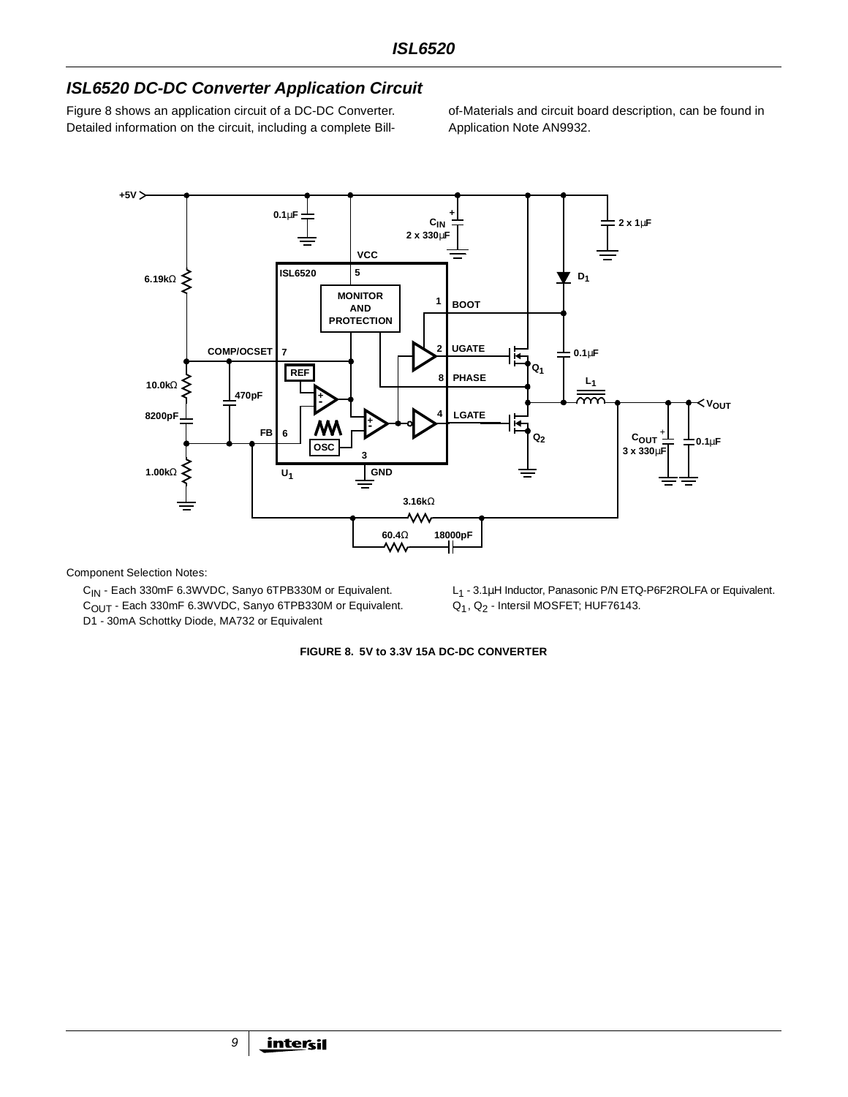# **ISL6520 DC-DC Converter Application Circuit**

Figure 8 shows an application circuit of a DC-DC Converter. Detailed information on the circuit, including a complete Billof-Materials and circuit board description, can be found in Application Note AN9932.



Component Selection Notes:

C<sub>IN</sub> - Each 330mF 6.3WVDC, Sanyo 6TPB330M or Equivalent. C<sub>OUT</sub> - Each 330mF 6.3WVDC, Sanyo 6TPB330M or Equivalent. D1 - 30mA Schottky Diode, MA732 or Equivalent

L<sub>1</sub> - 3.1µH Inductor, Panasonic P/N ETQ-P6F2ROLFA or Equivalent. Q1, Q2 - Intersil MOSFET; HUF76143.